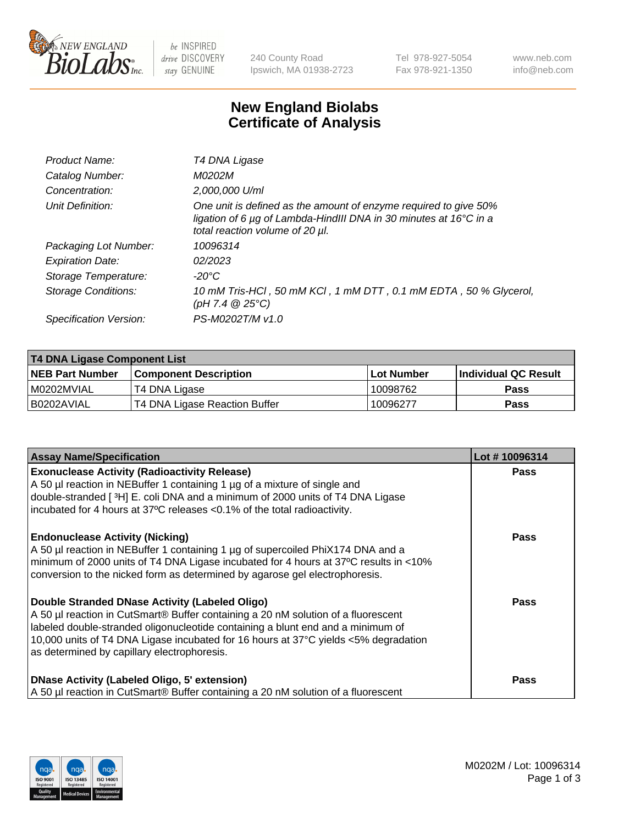

 $be$  INSPIRED drive DISCOVERY stay GENUINE

240 County Road Ipswich, MA 01938-2723 Tel 978-927-5054 Fax 978-921-1350 www.neb.com info@neb.com

## **New England Biolabs Certificate of Analysis**

| Product Name:              | T4 DNA Ligase                                                                                                                                                            |
|----------------------------|--------------------------------------------------------------------------------------------------------------------------------------------------------------------------|
| Catalog Number:            | M0202M                                                                                                                                                                   |
| Concentration:             | 2,000,000 U/ml                                                                                                                                                           |
| Unit Definition:           | One unit is defined as the amount of enzyme required to give 50%<br>ligation of 6 µg of Lambda-HindIII DNA in 30 minutes at 16°C in a<br>total reaction volume of 20 µl. |
| Packaging Lot Number:      | 10096314                                                                                                                                                                 |
| <b>Expiration Date:</b>    | 02/2023                                                                                                                                                                  |
| Storage Temperature:       | -20°C                                                                                                                                                                    |
| <b>Storage Conditions:</b> | 10 mM Tris-HCl, 50 mM KCl, 1 mM DTT, 0.1 mM EDTA, 50 % Glycerol,<br>(pH 7.4 $@25°C$ )                                                                                    |
| Specification Version:     | PS-M0202T/M v1.0                                                                                                                                                         |
|                            |                                                                                                                                                                          |

| T4 DNA Ligase Component List |                               |            |                             |  |
|------------------------------|-------------------------------|------------|-----------------------------|--|
| <b>NEB Part Number</b>       | <b>Component Description</b>  | Lot Number | <b>Individual QC Result</b> |  |
| I M0202MVIAL                 | T4 DNA Ligase                 | 10098762   | Pass                        |  |
| I B0202AVIAL                 | T4 DNA Ligase Reaction Buffer | 10096277   | <b>Pass</b>                 |  |

| <b>Assay Name/Specification</b>                                                                                                                                                                                                                                                                                                                              | Lot #10096314 |
|--------------------------------------------------------------------------------------------------------------------------------------------------------------------------------------------------------------------------------------------------------------------------------------------------------------------------------------------------------------|---------------|
| <b>Exonuclease Activity (Radioactivity Release)</b><br>A 50 µl reaction in NEBuffer 1 containing 1 µg of a mixture of single and<br>double-stranded [3H] E. coli DNA and a minimum of 2000 units of T4 DNA Ligase                                                                                                                                            | <b>Pass</b>   |
| incubated for 4 hours at 37°C releases <0.1% of the total radioactivity.                                                                                                                                                                                                                                                                                     |               |
| <b>Endonuclease Activity (Nicking)</b><br>A 50 µl reaction in NEBuffer 1 containing 1 µg of supercoiled PhiX174 DNA and a<br>minimum of 2000 units of T4 DNA Ligase incubated for 4 hours at 37°C results in <10%<br>conversion to the nicked form as determined by agarose gel electrophoresis.                                                             | <b>Pass</b>   |
| Double Stranded DNase Activity (Labeled Oligo)<br>A 50 µl reaction in CutSmart® Buffer containing a 20 nM solution of a fluorescent<br>Iabeled double-stranded oligonucleotide containing a blunt end and a minimum of<br>10,000 units of T4 DNA Ligase incubated for 16 hours at 37°C yields <5% degradation<br>as determined by capillary electrophoresis. | Pass          |
| DNase Activity (Labeled Oligo, 5' extension)<br>A 50 µl reaction in CutSmart® Buffer containing a 20 nM solution of a fluorescent                                                                                                                                                                                                                            | Pass          |

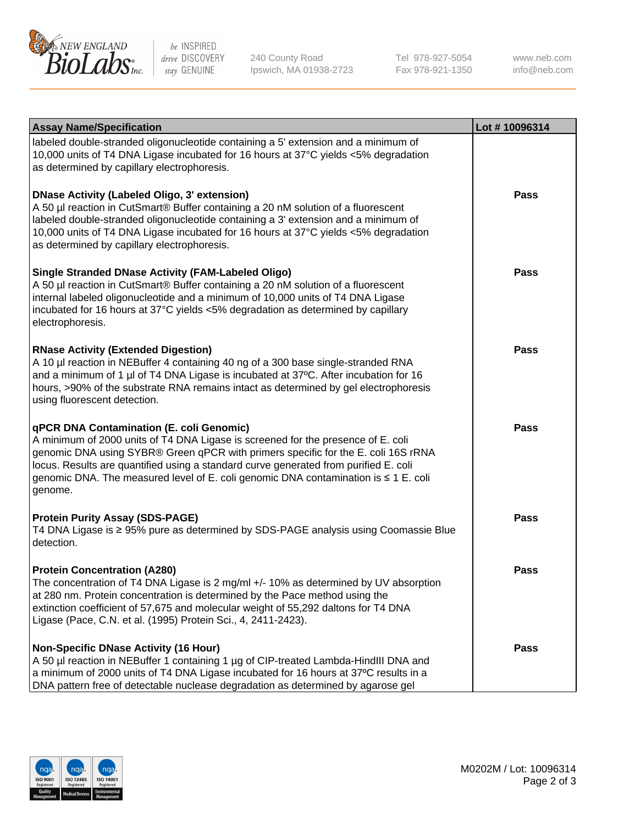

be INSPIRED drive DISCOVERY stay GENUINE

240 County Road Ipswich, MA 01938-2723 Tel 978-927-5054 Fax 978-921-1350

www.neb.com info@neb.com

| <b>Assay Name/Specification</b>                                                                                                                                                                                                                                                                                                                                                                             | Lot #10096314 |
|-------------------------------------------------------------------------------------------------------------------------------------------------------------------------------------------------------------------------------------------------------------------------------------------------------------------------------------------------------------------------------------------------------------|---------------|
| labeled double-stranded oligonucleotide containing a 5' extension and a minimum of<br>10,000 units of T4 DNA Ligase incubated for 16 hours at 37°C yields <5% degradation<br>as determined by capillary electrophoresis.                                                                                                                                                                                    |               |
| <b>DNase Activity (Labeled Oligo, 3' extension)</b><br>A 50 µl reaction in CutSmart® Buffer containing a 20 nM solution of a fluorescent<br>labeled double-stranded oligonucleotide containing a 3' extension and a minimum of<br>10,000 units of T4 DNA Ligase incubated for 16 hours at 37°C yields <5% degradation<br>as determined by capillary electrophoresis.                                        | Pass          |
| <b>Single Stranded DNase Activity (FAM-Labeled Oligo)</b><br>A 50 µl reaction in CutSmart® Buffer containing a 20 nM solution of a fluorescent<br>internal labeled oligonucleotide and a minimum of 10,000 units of T4 DNA Ligase<br>incubated for 16 hours at 37°C yields <5% degradation as determined by capillary<br>electrophoresis.                                                                   | <b>Pass</b>   |
| <b>RNase Activity (Extended Digestion)</b><br>A 10 µl reaction in NEBuffer 4 containing 40 ng of a 300 base single-stranded RNA<br>and a minimum of 1 µl of T4 DNA Ligase is incubated at 37°C. After incubation for 16<br>hours, >90% of the substrate RNA remains intact as determined by gel electrophoresis<br>using fluorescent detection.                                                             | <b>Pass</b>   |
| qPCR DNA Contamination (E. coli Genomic)<br>A minimum of 2000 units of T4 DNA Ligase is screened for the presence of E. coli<br>genomic DNA using SYBR® Green qPCR with primers specific for the E. coli 16S rRNA<br>locus. Results are quantified using a standard curve generated from purified E. coli<br>genomic DNA. The measured level of E. coli genomic DNA contamination is ≤ 1 E. coli<br>genome. | Pass          |
| <b>Protein Purity Assay (SDS-PAGE)</b><br>T4 DNA Ligase is ≥ 95% pure as determined by SDS-PAGE analysis using Coomassie Blue<br>detection.                                                                                                                                                                                                                                                                 | Pass          |
| <b>Protein Concentration (A280)</b><br>The concentration of T4 DNA Ligase is 2 mg/ml +/- 10% as determined by UV absorption<br>at 280 nm. Protein concentration is determined by the Pace method using the<br>extinction coefficient of 57,675 and molecular weight of 55,292 daltons for T4 DNA<br>Ligase (Pace, C.N. et al. (1995) Protein Sci., 4, 2411-2423).                                           | <b>Pass</b>   |
| <b>Non-Specific DNase Activity (16 Hour)</b><br>A 50 µl reaction in NEBuffer 1 containing 1 µg of CIP-treated Lambda-HindIII DNA and<br>a minimum of 2000 units of T4 DNA Ligase incubated for 16 hours at 37°C results in a<br>DNA pattern free of detectable nuclease degradation as determined by agarose gel                                                                                            | Pass          |